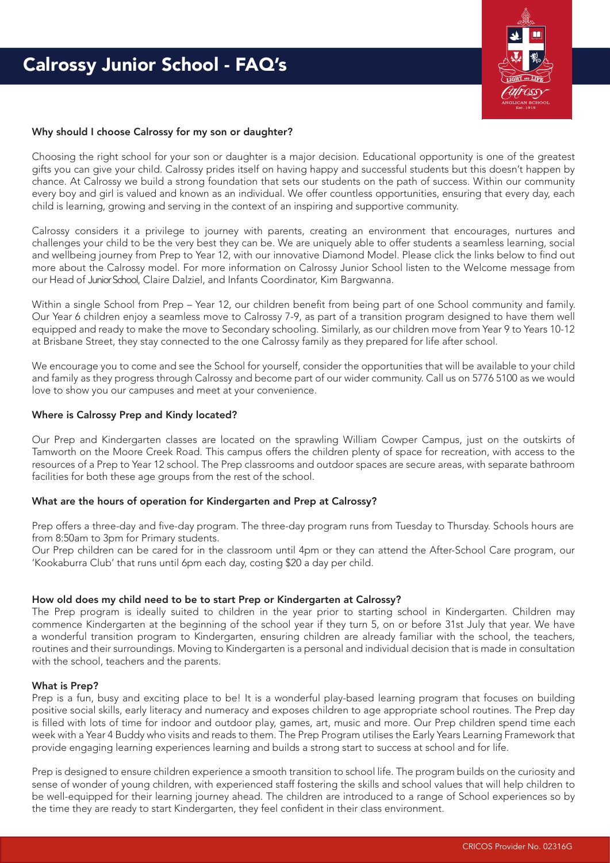

# Why should I choose Calrossy for my son or daughter?

Choosing the right school for your son or daughter is a major decision. Educational opportunity is one of the greatest gifts you can give your child. Calrossy prides itself on having happy and successful students but this doesn't happen by chance. At Calrossy we build a strong foundation that sets our students on the path of success. Within our community every boy and girl is valued and known as an individual. We offer countless opportunities, ensuring that every day, each child is learning, growing and serving in the context of an inspiring and supportive community.

Calrossy considers it a privilege to journey with parents, creating an environment that encourages, nurtures and challenges your child to be the very best they can be. We are uniquely able to offer students a seamless learning, social and wellbeing journey from Prep to Year 12, with our innovative Diamond Model. Please click the links below to find out more about the Calrossy model. For more information on Calrossy Junior School listen to the Welcome message from our Head of Junior School, Claire Dalziel, and Infants Coordinator, Kim Bargwanna.

Within a single School from Prep – Year 12, our children benefit from being part of one School community and family. Our Year 6 children enjoy a seamless move to Calrossy 7-9, as part of a transition program designed to have them well equipped and ready to make the move to Secondary schooling. Similarly, as our children move from Year 9 to Years 10-12 at Brisbane Street, they stay connected to the one Calrossy family as they prepared for life after school.

We encourage you to come and see the School for yourself, consider the opportunities that will be available to your child and family as they progress through Calrossy and become part of our wider community. Call us on 5776 5100 as we would love to show you our campuses and meet at your convenience.

## Where is Calrossy Prep and Kindy located?

Our Prep and Kindergarten classes are located on the sprawling William Cowper Campus, just on the outskirts of Tamworth on the Moore Creek Road. This campus offers the children plenty of space for recreation, with access to the resources of a Prep to Year 12 school. The Prep classrooms and outdoor spaces are secure areas, with separate bathroom facilities for both these age groups from the rest of the school.

## What are the hours of operation for Kindergarten and Prep at Calrossy?

Prep offers a three-day and five-day program. The three-day program runs from Tuesday to Thursday. Schools hours are from 8:50am to 3pm for Primary students.

Our Prep children can be cared for in the classroom until 4pm or they can attend the After-School Care program, our 'Kookaburra Club' that runs until 6pm each day, costing \$20 a day per child.

### How old does my child need to be to start Prep or Kindergarten at Calrossy?

The Prep program is ideally suited to children in the year prior to starting school in Kindergarten. Children may commence Kindergarten at the beginning of the school year if they turn 5, on or before 31st July that year. We have a wonderful transition program to Kindergarten, ensuring children are already familiar with the school, the teachers, routines and their surroundings. Moving to Kindergarten is a personal and individual decision that is made in consultation with the school, teachers and the parents.

### What is Prep?

Prep is a fun, busy and exciting place to be! It is a wonderful play-based learning program that focuses on building positive social skills, early literacy and numeracy and exposes children to age appropriate school routines. The Prep day is filled with lots of time for indoor and outdoor play, games, art, music and more. Our Prep children spend time each week with a Year 4 Buddy who visits and reads to them. The Prep Program utilises the Early Years Learning Framework that provide engaging learning experiences learning and builds a strong start to success at school and for life.

Prep is designed to ensure children experience a smooth transition to school life. The program builds on the curiosity and sense of wonder of young children, with experienced staff fostering the skills and school values that will help children to be well-equipped for their learning journey ahead. The children are introduced to a range of School experiences so by the time they are ready to start Kindergarten, they feel confident in their class environment.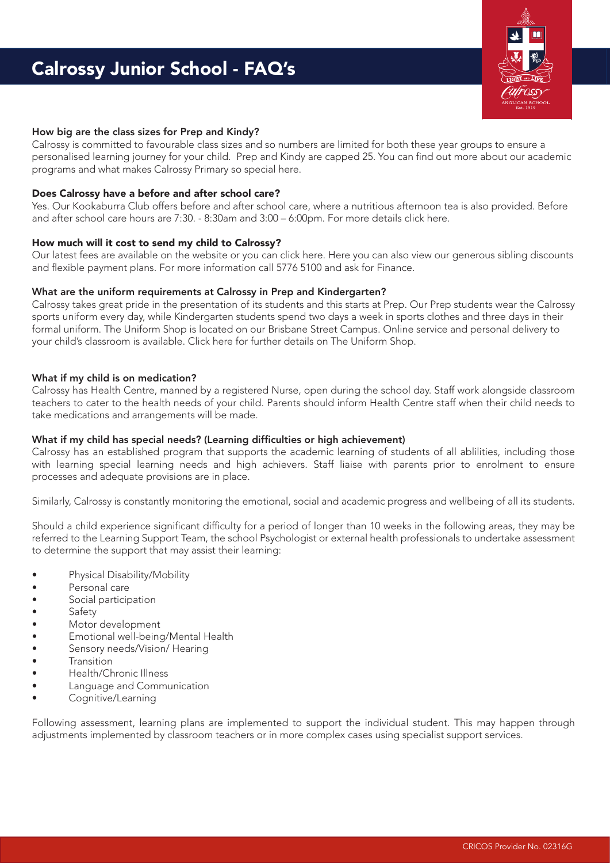# Calrossy Junior School - FAQ's



## How big are the class sizes for Prep and Kindy?

Calrossy is committed to favourable class sizes and so numbers are limited for both these year groups to ensure a personalised learning journey for your child. Prep and Kindy are capped 25. You can find out more about our academic programs and what makes Calrossy Primary so special [here.](https://calrossy.nsw.edu.au/Primary)

## Does Calrossy have a before and after school care?

Yes. Our Kookaburra Club offers before and after school care, where a nutritious afternoon tea is also provided. Before and after school care hours are 7:30. - 8:30am and 3:00 – 6:00pm. For more detail[s click here.](https://calrossy.nsw.edu.au/Primary/Kookaburra)

## How much will it cost to send my child to Calrossy?

Our latest fees are available on the website or you can [click here.](https://calrossy.nsw.edu.au/Enrolment/fee-schedule) Here you can also view our generous sibling discounts and flexible payment plans. For more information call 5776 5100 and ask for Finance.

## What are the uniform requirements at Calrossy in Prep and Kindergarten?

Calrossy takes great pride in the presentation of its students and this starts at Prep. Our Prep students wear the Calrossy sports uniform every day, while Kindergarten students spend two days a week in sports clothes and three days in their formal uniform. The Uniform Shop is located on our Brisbane Street Campus. Online service and personal delivery to your child's classroom is available. [Click here](https://calrossy.nsw.edu.au/Enrolment/Uniform) for further details on The Uniform Shop.

## What if my child is on medication?

Calrossy has Health Centre, manned by a registered Nurse, open during the school day. Staff work alongside classroom teachers to cater to the health needs of your child. Parents should inform Health Centre staff when their child needs to take medications and arrangements will be made.

# What if my child has special needs? (Learning difficulties or high achievement)

Calrossy has an established program that supports the academic learning of students of all ablilities, including those with learning special learning needs and high achievers. Staff liaise with parents prior to enrolment to ensure processes and adequate provisions are in place.

Similarly, Calrossy is constantly monitoring the emotional, social and academic progress and wellbeing of all its students.

Should a child experience significant difficulty for a period of longer than 10 weeks in the following areas, they may be referred to the Learning Support Team, the school Psychologist or external health professionals to undertake assessment to determine the support that may assist their learning:

- Physical Disability/Mobility
- Personal care
- Social participation
- Safety<br>• Motor
- Motor development
- Emotional well-being/Mental Health
- Sensory needs/Vision/ Hearing
- **Transition**
- Health/Chronic Illness
- Language and Communication
- Cognitive/Learning

Following assessment, learning plans are implemented to support the individual student. This may happen through adjustments implemented by classroom teachers or in more complex cases using specialist support services.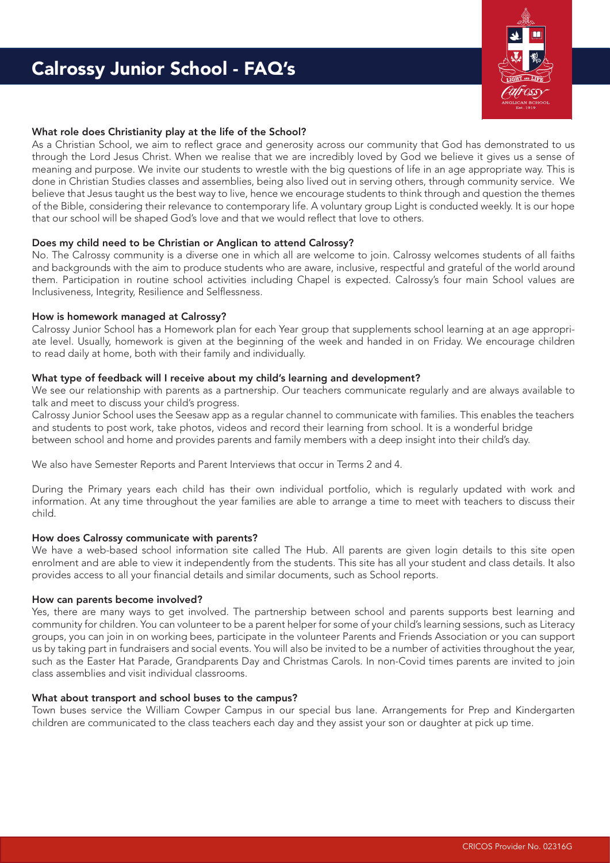# Calrossy Junior School - FAQ's



# What role does Christianity play at the life of the School?

As a Christian School, we aim to reflect grace and generosity across our community that God has demonstrated to us through the Lord Jesus Christ. When we realise that we are incredibly loved by God we believe it gives us a sense of meaning and purpose. We invite our students to wrestle with the big questions of life in an age appropriate way. This is done in Christian Studies classes and assemblies, being also lived out in serving others, through community service. We believe that Jesus taught us the best way to live, hence we encourage students to think through and question the themes of the Bible, considering their relevance to contemporary life. A voluntary group Light is conducted weekly. It is our hope that our school will be shaped God's love and that we would reflect that love to others.

## Does my child need to be Christian or Anglican to attend Calrossy?

No. The Calrossy community is a diverse one in which all are welcome to join. Calrossy welcomes students of all faiths and backgrounds with the aim to produce students who are aware, inclusive, respectful and grateful of the world around them. Participation in routine school activities including Chapel is expected. Calrossy's four main School values are Inclusiveness, Integrity, Resilience and Selflessness.

### How is homework managed at Calrossy?

Calrossy Junior School has a Homework plan for each Year group that supplements school learning at an age appropriate level. Usually, homework is given at the beginning of the week and handed in on Friday. We encourage children to read daily at home, both with their family and individually.

## What type of feedback will I receive about my child's learning and development?

We see our relationship with parents as a partnership. Our teachers communicate regularly and are always available to talk and meet to discuss your child's progress.

Calrossy Junior School uses the Seesaw app as a regular channel to communicate with families. This enables the teachers and students to post work, take photos, videos and record their learning from school. It is a wonderful bridge between school and home and provides parents and family members with a deep insight into their child's day.

We also have Semester Reports and Parent Interviews that occur in Terms 2 and 4.

During the Primary years each child has their own individual portfolio, which is regularly updated with work and information. At any time throughout the year families are able to arrange a time to meet with teachers to discuss their child.

# How does Calrossy communicate with parents?

We have a web-based school information site called The Hub. All parents are given login details to this site open enrolment and are able to view it independently from the students. This site has all your student and class details. It also provides access to all your financial details and similar documents, such as School reports.

### How can parents become involved?

Yes, there are many ways to get involved. The partnership between school and parents supports best learning and community for children. You can volunteer to be a parent helper for some of your child's learning sessions, such as Literacy groups, you can join in on working bees, participate in the volunteer Parents and Friends Association or you can support us by taking part in fundraisers and social events. You will also be invited to be a number of activities throughout the year, such as the Easter Hat Parade, Grandparents Day and Christmas Carols. In non-Covid times parents are invited to join class assemblies and visit individual classrooms.

### What about transport and school buses to the campus?

Town buses service the William Cowper Campus in our special bus lane. Arrangements for Prep and Kindergarten children are communicated to the class teachers each day and they assist your son or daughter at pick up time.